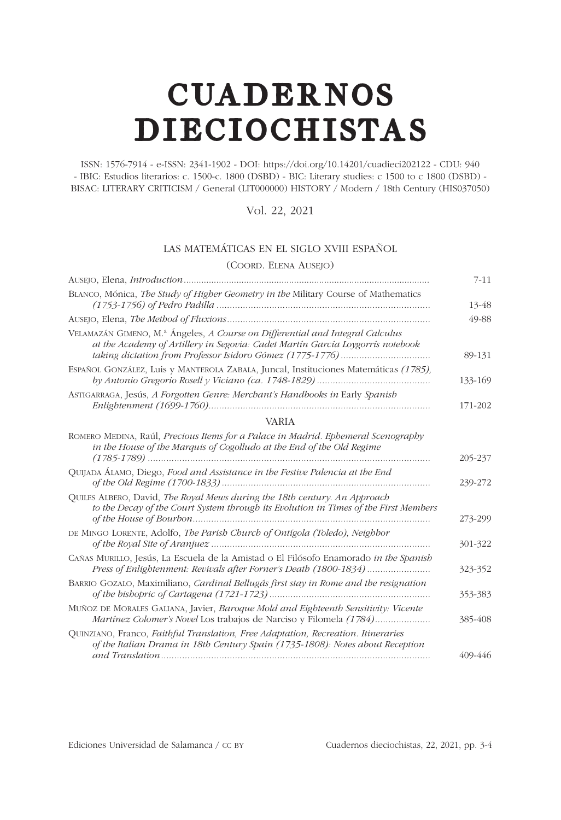## <span id="page-0-1"></span>**CUADERNOS DIECIOCHISTAS**

ISSN: 1576-7914 - e-ISSN: 2341-1902 - DOI: [https://doi.org/10.14201/c](http://dx.doi.org/10.14201/201516)uadieci202122 - CDU: 940 - IBIC: Estudios literarios: c. 1500-c. 1800 (DSBD) - BIC: Literary studies: c 1500 to c 1800 (DSBD) - BISAC: LITERARY CRITICISM / General (LIT000000) HISTORY / Modern / 18th Century (HIS037050)

Vol. 22, 2021

## [LAS MATEMÁTICAS EN EL SIGLO XVIII ESPAÑOL](#page-0-0)

## (Coord. Elena Ausejo)

<span id="page-0-0"></span>

|                                                                                                                                                                    | $7 - 11$ |
|--------------------------------------------------------------------------------------------------------------------------------------------------------------------|----------|
| BLANCO, Mónica, The Study of Higher Geometry in the Military Course of Mathematics                                                                                 | 13-48    |
|                                                                                                                                                                    | 49-88    |
| VELAMAZÁN GIMENO, M.ª Ángeles, A Course on Differential and Integral Calculus<br>at the Academy of Artillery in Segovia: Cadet Martín García Loygorrís notebook    | 89-131   |
| ESPAÑOL GONZÁLEZ, Luis y MANTEROLA ZABALA, Juncal, Instituciones Matemáticas (1785),                                                                               | 133-169  |
| ASTIGARRAGA, Jesús, A Forgotten Genre: Merchant's Handbooks in Early Spanish                                                                                       | 171-202  |
| <b>VARIA</b>                                                                                                                                                       |          |
| ROMERO MEDINA, Raúl, Precious Items for a Palace in Madrid. Ephemeral Scenography<br>in the House of the Marquis of Cogolludo at the End of the Old Regime         | 205-237  |
| QUIJADA ÁLAMO, Diego, Food and Assistance in the Festive Palencia at the End                                                                                       | 239-272  |
| QUILES ALBERO, David, The Royal Mews during the 18th century. An Approach<br>to the Decay of the Court System through its Evolution in Times of the First Members  | 273-299  |
| DE MINGO LORENTE, Adolfo, The Parish Church of Ontígola (Toledo), Neighbor                                                                                         | 301-322  |
| CAÑAS MURILLO, Jesús, La Escuela de la Amistad o El Filósofo Enamorado in the Spanish<br>Press of Enlightenment: Revivals after Forner's Death (1800-1834)         | 323-352  |
| BARRIO GOZALO, Maximiliano, Cardinal Bellugás first stay in Rome and the resignation                                                                               | 353-383  |
| MUÑOZ DE MORALES GALIANA, Javier, Baroque Mold and Eighteenth Sensitivity: Vicente<br><i>Martínez Colomer's Novel Los trabajos de Narciso y Filomela (1784)</i>    | 385-408  |
| QUINZIANO, Franco, Faithful Translation, Free Adaptation, Recreation. Itineraries<br>of the Italian Drama in 18th Century Spain (1735-1808): Notes about Reception | 409-446  |